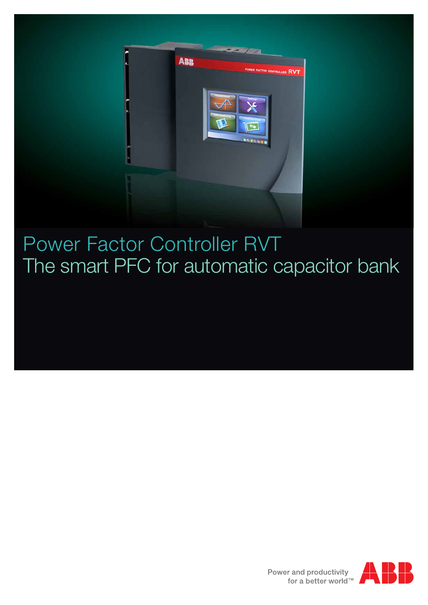

### Power Factor Controller RVT The smart PFC for automatic capacitor bank

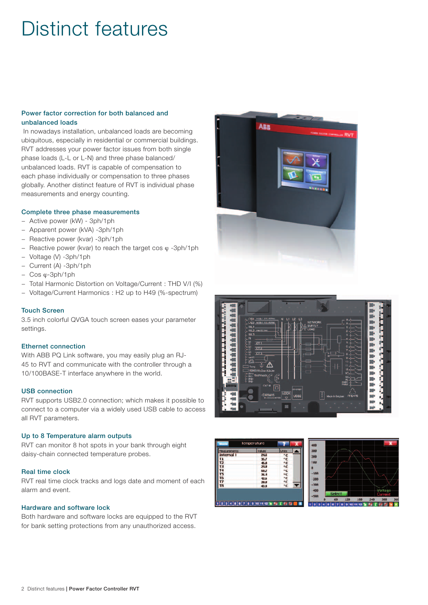### Distinct features

#### Power factor correction for both balanced and unbalanced loads

 In nowadays installation, unbalanced loads are becoming ubiquitous, especially in residential or commercial buildings. RVT addresses your power factor issues from both single phase loads (L-L or L-N) and three phase balanced/ unbalanced loads. RVT is capable of compensation to each phase individually or compensation to three phases globally. Another distinct feature of RVT is individual phase measurements and energy counting.

#### Complete three phase measurements

- − Active power (kW) 3ph/1ph
- − Apparent power (kVA) -3ph/1ph
- − Reactive power (kvar) -3ph/1ph
- − Reactive power (kvar) to reach the target cos ϕ -3ph/1ph
- − Voltage (V) -3ph/1ph
- − Current (A) -3ph/1ph
- − Cos ϕ-3ph/1ph
- − Total Harmonic Distortion on Voltage/Current : THD V/I (%)
- − Voltage/Current Harmonics : H2 up to H49 (%-spectrum)

#### Touch Screen

3.5 inch colorful QVGA touch screen eases your parameter settings.

#### Ethernet connection

With ABB PQ Link software, you may easily plug an RJ-45 to RVT and communicate with the controller through a 10/100BASE-T interface anywhere in the world.

#### USB connection

RVT supports USB2.0 connection; which makes it possible to connect to a computer via a widely used USB cable to access all RVT parameters.

#### Up to 8 Temperature alarm outputs

RVT can monitor 8 hot spots in your bank through eight daisy-chain connected temperature probes.

#### Real time clock

RVT real time clock tracks and logs date and moment of each alarm and event.

#### Hardware and software lock

Both hardware and software locks are equipped to the RVT for bank setting protections from any unauthorized access.







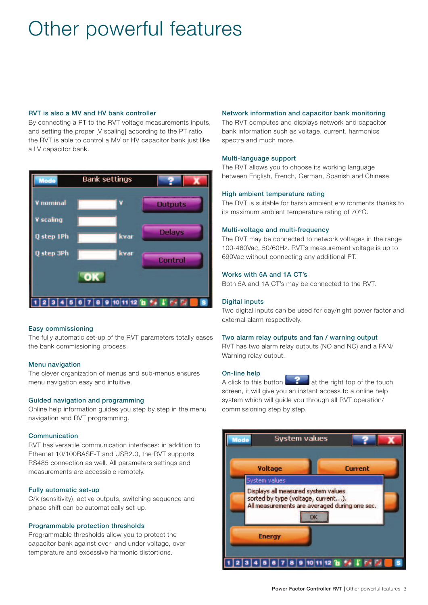## Other powerful features

#### RVT is also a MV and HV bank controller

By connecting a PT to the RVT voltage measurements inputs, and setting the proper [V scaling] according to the PT ratio, the RVT is able to control a MV or HV capacitor bank just like a LV capacitor bank.



#### Easy commissioning

The fully automatic set-up of the RVT parameters totally eases the bank commissioning process.

#### Menu navigation

The clever organization of menus and sub-menus ensures menu navigation easy and intuitive.

#### Guided navigation and programming

Online help information guides you step by step in the menu navigation and RVT programming.

#### Communication

RVT has versatile communication interfaces: in addition to Ethernet 10/100BASE-T and USB2.0, the RVT supports RS485 connection as well. All parameters settings and measurements are accessible remotely.

#### Fully automatic set-up

C/k (sensitivity), active outputs, switching sequence and phase shift can be automatically set-up.

#### Programmable protection thresholds

Programmable thresholds allow you to protect the capacitor bank against over- and under-voltage, overtemperature and excessive harmonic distortions.

#### Network information and capacitor bank monitoring

The RVT computes and displays network and capacitor bank information such as voltage, current, harmonics spectra and much more.

#### Multi-language support

The RVT allows you to choose its working language between English, French, German, Spanish and Chinese.

#### High ambient temperature rating

The RVT is suitable for harsh ambient environments thanks to its maximum ambient temperature rating of 70°C.

#### Multi-voltage and multi-frequency

The RVT may be connected to network voltages in the range 100-460Vac, 50/60Hz. RVT's measurement voltage is up to 690Vac without connecting any additional PT.

#### Works with 5A and 1A CT's

Both 5A and 1A CT's may be connected to the RVT.

#### Digital inputs

Two digital inputs can be used for day/night power factor and external alarm respectively.

#### Two alarm relay outputs and fan / warning output

RVT has two alarm relay outputs (NO and NC) and a FAN/ Warning relay output.

#### On-line help

A click to this button at the right top of the touch screen, it will give you an instant access to a online help system which will guide you through all RVT operation/ commissioning step by step.

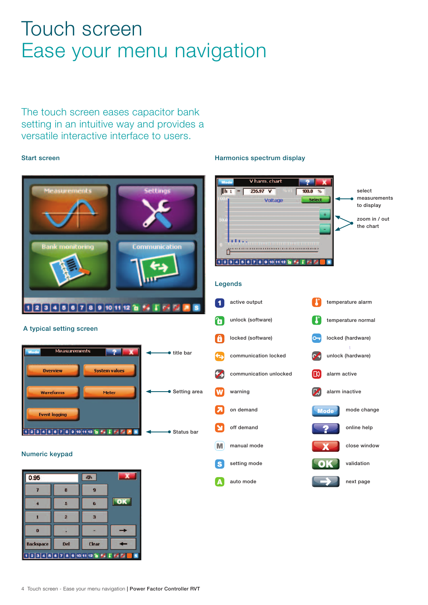### Touch screen Ease your menu navigation

The touch screen eases capacitor bank setting in an intuitive way and provides a versatile interactive interface to users.

#### Start screen



setting mode

validation

next page

auto mode

#### Numeric keypad

| 0.95                    |                | 哪            |    |  |  |  |  |
|-------------------------|----------------|--------------|----|--|--|--|--|
|                         | 8              |              |    |  |  |  |  |
|                         | 5              | 6            | ОΚ |  |  |  |  |
|                         | $\overline{2}$ | з            |    |  |  |  |  |
| $\overline{\mathbf{0}}$ |                |              |    |  |  |  |  |
| <b>Backspace</b>        | Del            | <b>Clear</b> |    |  |  |  |  |
| $123456789101112$       |                |              |    |  |  |  |  |

#### Harmonics spectrum display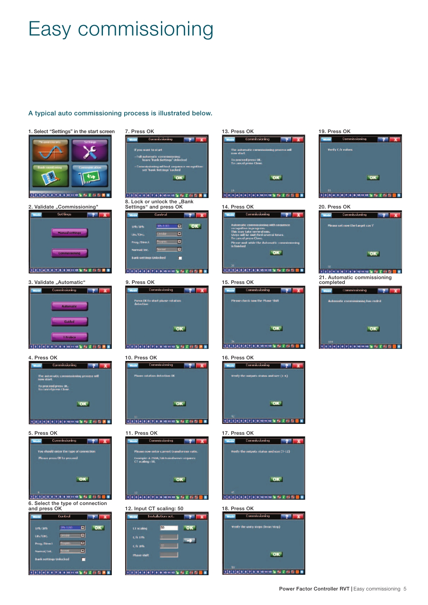# Easy commissioning

A typical auto commissioning process is illustrated below.

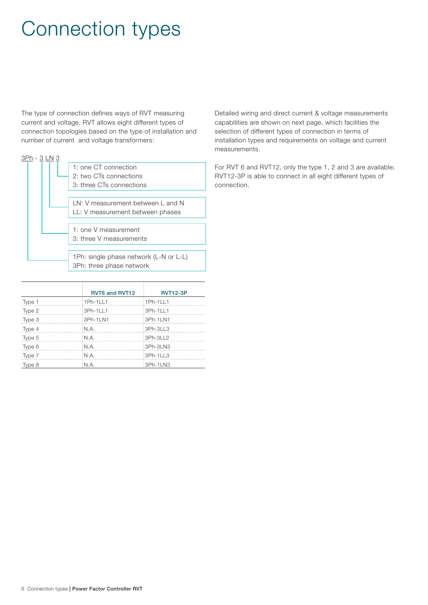### Connection types

The type of connection defines ways of RVT measuring current and voltage. RVT allows eight different types of connection topologies based on the type of installation and number of current and voltage transformers:

| 1: one CT connection                   |
|----------------------------------------|
| 2: two CTs connections                 |
| 3: three CTs connections               |
|                                        |
| LN: V measurement between L and N      |
| LL: V measurement between phases       |
|                                        |
| 1: one V measurement                   |
| 3: three V measurements                |
|                                        |
| 1Ph: single phase network (L-N or L-L) |
| 3Ph: three phase network               |
|                                        |

|        | <b>RVT6 and RVT12</b> | <b>RVT12-3P</b> |
|--------|-----------------------|-----------------|
| Type 1 | 1Ph-1LL1              | 1Ph-1LL1        |
| Type 2 | 3Ph-1LL1              | 3Ph-1LL1        |
| Type 3 | :3Ph-1LN1             | :3Ph-1LN1       |
| Type 4 | : N.A.                | 3Ph-3LL3        |
| Type 5 | N.A.                  | 3Ph-3LL2        |
| Type 6 | N.A.                  | :3Ph-3LN3       |
| Type 7 | : N.A.                | 3Ph-1LL3        |
| Type 8 | : N.A.                | 3Ph-1LN3        |

Detailed wiring and direct current & voltage measurements capabilities are shown on next page, which facilities the selection of different types of connection in terms of installation types and requirements on voltage and current measurements.

For RVT 6 and RVT12, only the type 1, 2 and 3 are available; RVT12-3P is able to connect in all eight different types of connection.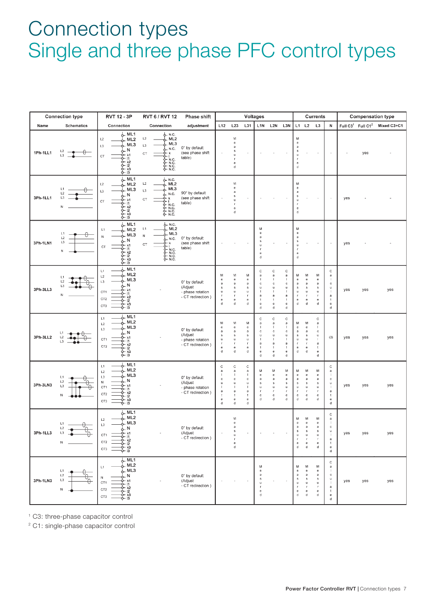### Connection types Single and three phase PFC control types

|          | <b>Connection type</b>                                      | <b>RVT 12 - 3P</b>                                                                                                                                             | <b>RVT 6 / RVT 12</b>                                                                                                                                                                                                                 | Phase shift                                                        | <b>Voltages</b>                                                                           |                                                                                                                   |                                                                                                                                                                                    | <b>Currents</b>                                                                             |                                                                               |                                                                      |                                                                                  | <b>Compensation type</b>                                                          |                                                                                                                                                                                     |                                                                                                                                                                                         |     |     |                                                       |
|----------|-------------------------------------------------------------|----------------------------------------------------------------------------------------------------------------------------------------------------------------|---------------------------------------------------------------------------------------------------------------------------------------------------------------------------------------------------------------------------------------|--------------------------------------------------------------------|-------------------------------------------------------------------------------------------|-------------------------------------------------------------------------------------------------------------------|------------------------------------------------------------------------------------------------------------------------------------------------------------------------------------|---------------------------------------------------------------------------------------------|-------------------------------------------------------------------------------|----------------------------------------------------------------------|----------------------------------------------------------------------------------|-----------------------------------------------------------------------------------|-------------------------------------------------------------------------------------------------------------------------------------------------------------------------------------|-----------------------------------------------------------------------------------------------------------------------------------------------------------------------------------------|-----|-----|-------------------------------------------------------|
| Name     | <b>Schematics</b>                                           | Connection                                                                                                                                                     | Connection                                                                                                                                                                                                                            | adjustment                                                         | L12                                                                                       | L23                                                                                                               | L31                                                                                                                                                                                |                                                                                             | L1N L2N L3N                                                                   |                                                                      |                                                                                  | $L1$ $L2$ $L3$                                                                    |                                                                                                                                                                                     | ${\sf N}$                                                                                                                                                                               |     |     | Full C3 <sup>1</sup> Full C1 <sup>2</sup> Mixed C3+C1 |
| 1Ph-1LL1 | L <sub>2</sub><br>₩<br>L3                                   | L ML1<br>L2<br>ML <sub>2</sub><br>ML3<br>L3<br>. N<br>k1<br>C <sub>T</sub><br>- 11<br>တုက<br>တိုက်<br>ဝိုက်<br>ф- 13                                           | ሌ– N.C.<br>$\_ ML2$<br>L2<br>ML3<br>$\mathsf{L}3$<br>N.C.<br>CT<br>k<br>6- N.C.<br>& N.C.<br>& N.C.<br>& N.C.                                                                                                                         | 0° by default<br>(see phase shift<br>table)                        |                                                                                           | М<br>$_{\rm e}$<br>$\mathbf a$<br>s<br>$\mathbf u$<br>л<br>$\mathbf e$<br>d                                       |                                                                                                                                                                                    |                                                                                             |                                                                               |                                                                      | м<br>e<br>a<br>s<br>$\mathbf{u}$<br>$\mathbf{r}$<br>e<br>d                       |                                                                                   |                                                                                                                                                                                     |                                                                                                                                                                                         |     | yes |                                                       |
| 3Ph-1LL1 | L1<br>L2<br>L3<br>N                                         | $L$ ML1<br>L2<br>. ML2<br>ML3<br>$\mathsf{L}3$<br>N<br>k1<br>C <sub>T</sub><br>0-11<br>႕<br>၁- <u>၉</u><br>၁- ၉<br>ф- 13                                       | 6. N.C.<br>L2<br>ML <sub>2</sub><br>ML3<br>L3<br>N.C.<br>k<br>CT<br>ф- N.C.<br>ф- n.c.<br>δ- N.C.<br>Ο- N.C.                                                                                                                          | 90° by default<br>(see phase shift<br>table)                       |                                                                                           | M<br>e<br>a<br>$\mathbb S$<br>u<br><b>r</b><br>e<br>d                                                             |                                                                                                                                                                                    |                                                                                             |                                                                               |                                                                      | м<br>e<br>$\mathsf{a}$<br>$\mathbb{S}$<br>u<br>$\mathbf{r}$<br>e<br>d            |                                                                                   |                                                                                                                                                                                     |                                                                                                                                                                                         | yes |     |                                                       |
| 3Ph-1LN1 | L1<br>L2<br>L3<br>N                                         | $L$ ML1<br>. ML2<br>L1<br>ML3<br>${\sf N}$<br>. N<br>k1<br>$C$ T<br>6-11<br>႕ မြန်<br>၁- မြန်<br>ф- 13                                                         | & N.C.<br>ML <sub>2</sub><br>L1<br>ML3<br>${\sf N}$<br>$\_$ N.C.<br>۰k<br>CT<br>$\begin{array}{c}\n\gamma \rightarrow 0 \\ \gamma \rightarrow 0 \\ \gamma \rightarrow 0 \\ \gamma \rightarrow 0 \\ \gamma \rightarrow 0\n\end{array}$ | 0° by default<br>(see phase shift<br>table)                        |                                                                                           |                                                                                                                   |                                                                                                                                                                                    | М<br>$\ddot{\text{e}}$<br>a<br>s<br>$\sf u$<br>-F<br>$_{\rm e}$<br>d                        |                                                                               |                                                                      | М<br>e<br>a<br>$\mathbb S$<br>u<br>$\mathbf{r}$<br>e<br>d                        |                                                                                   |                                                                                                                                                                                     | $\overline{\phantom{a}}$                                                                                                                                                                | yes |     |                                                       |
| 3Ph-3LL3 | L1<br>L2<br>L3<br>N                                         | ML <sub>1</sub><br>L1<br>ML <sub>2</sub><br>L2<br>ML3<br>L3<br>N<br>k1<br>CT <sub>1</sub><br>O-11<br>5- k2<br>CT <sub>2</sub><br>0- 12<br>0- k3<br>CT3<br>· 13 |                                                                                                                                                                                                                                       | 0° by default<br>(Adjust<br>- phase rotation<br>- CT redirection)  | М<br>e<br>a<br>s<br>u<br>г.<br>$\mathbf{e}$<br>d                                          | M<br>e<br>a<br>s<br>u<br>$\Gamma$<br>$\mathbf{e}$<br>d                                                            | м<br>$\mathsf{e}% _{0}\left( t\right)$<br>$\mathbf a$<br>s<br>$\sf u$<br>$\Gamma$<br>$\mathbf{e}$<br>d                                                                             | C<br>a<br>$\mathbf c$<br>ū<br>a<br>$_{\rm e}$<br>đ                                          | С<br>a<br>$\mathbf{I}$<br>C<br>u<br>-1<br>a<br>$\ddot{\phantom{1}}$<br>e<br>đ | с<br>$\mathbf a$<br>-1<br>C<br>$\mathbf u$<br>п<br>a<br>-1<br>e<br>d | м<br>e<br>a<br>${\sf s}$<br>u<br>$\mathbf{r}$<br>е<br>d                          | м<br>e<br>a<br>$\mathsf{s}$<br>$\sf u$<br>$\mathbf{r}$<br>e<br>d                  | м<br>e<br>a<br>s<br>u<br>$\mathbf{r}$<br>e<br>d                                                                                                                                     | $\mathbb C$<br>$\rm ^a$<br>- 1<br>$\mathtt{C}$<br>$\sf u$<br>$\mathbf{I}$<br>$\mathsf a$<br>$\ddot{\phantom{a}}$<br>$_{\rm e}$<br>d                                                     | yes | yes | yes                                                   |
| 3Ph-3LL2 | $\mathsf{L}2$                                               | ML <sub>1</sub><br>L1<br>ML <sub>2</sub><br>$\mathsf{L}2$<br>ML3<br>L3<br>N<br>k1<br>CT1<br>¢- 11<br><b>PPPP</b><br>PB<br>PB<br>CT2                            |                                                                                                                                                                                                                                       | 0° by default<br>(Adjust<br>- phase rotation<br>- CT redirection ) | M<br>$\mathbf{e}% _{t}\left  \mathbf{v}_{t}\right $<br>a<br>${\bf s}$<br>u<br>r<br>e<br>d | М<br>e<br>a<br>$\mathbb S$<br>$\mathbf u$<br>r<br>$\mathbf{e}% _{t}\left  \mathbf{1}\right\rangle$<br>$\mathsf d$ | м<br>$\mathbf{e}% _{t}\left  \mathbf{1}\right\rangle =\mathbf{1}_{\left  \mathbf{1}\right  \leq\left  \mathbf{1}% _{t}\right  }$<br>a<br>s<br>$\mathbf u$<br>Ţ<br>e<br>$\mathbf d$ | $\mathbf C$<br>a<br>c<br>u<br>a<br>÷<br>e<br>d                                              | Ċ<br>a<br>-1<br>c<br>u<br>a<br>$\ddot{\phantom{1}}$<br>e<br>d                 | C<br>a<br>c<br>u<br>$\mathbf a$<br>$\ddot{\phantom{1}}$<br>e<br>d    | м<br>e<br>а<br>$\mathbf s$<br>u.<br>$\mathsf{f}$<br>e<br>d                       | м<br>$_{\rm e}$<br>a<br>s<br>$\mathsf{u}$<br>$\mathbf{f}$<br>e<br>d               | С<br>a<br>$\mathbf{I}$<br>c<br>u<br>$\mathbf a$<br>$\mathbf{t}$<br>e<br>d                                                                                                           | (3)                                                                                                                                                                                     | yes | yes | yes                                                   |
| 3Ph-3LN3 | L1<br>L <sub>2</sub><br>L <sub>3</sub><br>N                 | ML1<br>L1<br>ML <sub>2</sub><br>L2<br>ML3<br>L3<br>N<br>$\sf N$<br>k1<br>CT1<br>3- 11<br>φ- k2<br>CT <sub>2</sub><br>$\overline{2}$<br>k3<br>CT3<br>5- 13      |                                                                                                                                                                                                                                       | 0° by default<br>(Adjust<br>- phase rotation<br>- CT redirection ) | C<br>a<br>c<br>u<br>$\mathbf{I}$<br>a<br>t<br>e<br>d                                      | $\mathtt{C}$<br>$\mathbf{a}$<br>$\mathtt{c}$<br>$\mathsf{u}$<br>$\mathbf{I}$<br>a<br>t<br>e<br>d                  | $\mathtt{C}$<br>$\mathbf{a}$<br>$\mathbf{I}$<br>$\mathsf{c}\,$<br>$\sf u$<br>$\mathbf{I}$<br>a<br>t<br>e<br>d                                                                      | M<br>e<br>a<br>s<br><b>u</b><br>-f<br>e<br>d                                                | M<br>e<br>a<br>s<br>$\mathbf{u}$<br>r<br>e<br>d                               | М<br>e<br>a<br>$\mathbb{S}$<br>$\mathbf u$<br>$\mathbf r$<br>e<br>d  | м<br>e<br>$\mathsf a$<br>s<br>$\mathsf{u}$<br>$\mathbf{f}$<br>e<br>d             | М<br>e<br>a<br>s<br>u<br>$\mathbf{r}$<br>e<br>d                                   | м<br>e<br>a<br>s<br>u<br>г<br>e<br>d                                                                                                                                                | $\mathbb{C}$<br>$\mathbf{a}$<br>$\overline{\phantom{a}}$<br>$\mathtt{C}$<br>u<br>$\blacksquare$<br>$\mathbf a$<br>$\mathbf{t}$<br>$\mathbf{e}% _{t}\left  \mathbf{1}\right\rangle$<br>d | yes | yes | yes                                                   |
| 3Ph-1LL3 | L1<br>$\frac{\theta}{\varphi}$<br>L2<br>L <sub>3</sub><br>Ν | LML1<br>ML <sub>2</sub><br>$\mathsf{L}2$<br>$\_ ML3$<br>$\mathsf{L}3$<br>CT <sub>1</sub><br>· [1<br>k2<br>CT <sub>2</sub><br>$\overline{2}$<br>k3<br>CT3<br> 3 |                                                                                                                                                                                                                                       | 0° by default<br>(Adjust<br>- CT redirection )                     |                                                                                           | М<br>${\bf e}$<br>a<br>$\sf u$<br>$\Gamma$<br>$\frac{e}{d}$                                                       |                                                                                                                                                                                    |                                                                                             |                                                                               |                                                                      | м<br>е<br>$\mathsf a$<br>u<br>$\Gamma$<br>$\mathsf{e}% _{t}\left( t\right)$<br>d | м<br>е<br>a<br>$\mathsf{u}$<br>$\Gamma$<br>$\mathbf{e}% _{t}\left( t\right)$<br>d | м<br>е<br>$\mathsf a$<br>s<br>$\sf u$<br>r<br>$\mathbf{e}% _{t}\left  \mathbf{1}\right\rangle =\mathbf{1}_{\left  \mathbf{1}\right\rangle }^{\left  \mathbf{1}\right\rangle }$<br>d | С<br>a<br>$\blacksquare$<br>$\mathbb{C}$<br>$\overline{\phantom{0}}$<br>a<br>$\mathbf{t}$<br>$\,$ e<br>d                                                                                | yes | yes | yes                                                   |
| 3Ph-1LN3 | L1<br>$\mathsf{L}2$<br>L3<br>${\sf N}$                      | <u> </u> ML1<br>ML <sub>2</sub><br>L1<br>∫_ м∟з<br>N<br>${\sf N}$<br>5- k1<br>CT1<br>\$- 11<br>ф- к2<br>CT <sub>2</sub><br>0- 12<br>)— k3<br>CT3<br>5- is      |                                                                                                                                                                                                                                       | 0° by default<br>(Adjust<br>- CT redirection )                     |                                                                                           |                                                                                                                   |                                                                                                                                                                                    | М<br>$\bullet$<br>a<br>$\,$ s<br>$\mathsf{u}$<br>$\mathbb T$<br>$\mathbf{e}$<br>$\mathbf d$ |                                                                               |                                                                      | м<br>e<br>a<br>$\mathbf{s}$<br>u<br>$\Gamma$<br>e<br>d                           | м<br>e<br>a<br>s<br>$\mathbf u$<br>e<br>d                                         | м<br>e<br>a<br>s<br>u<br>$\mathsf r$<br>e<br>ď                                                                                                                                      | $\mathbb C$<br>$\bf a$<br>$\overline{\phantom{a}}$<br>c<br>$\sf U$<br>$\overline{\phantom{a}}$<br>$\mathsf a$<br>$\mathbf{t}$<br>$\mathbf{e}$<br>$\bf d$                                | yes | yes | yes                                                   |

1 C3: three-phase capacitor control

<sup>2</sup> C1: single-phase capacitor control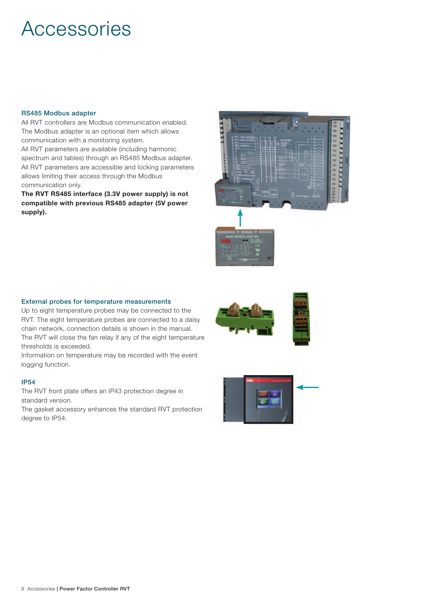### **Accessories**

#### RS485 Modbus adapter

All RVT controllers are Modbus communication enabled. The Modbus adapter is an optional item which allows communication with a monitoring system.

All RVT parameters are available (including harmonic spectrum and tables) through an RS485 Modbus adapter. All RVT parameters are accessible and locking parameters allows limiting their access through the Modbus communication only.

The RVT RS485 interface (3.3V power supply) is not compatible with previous RS485 adapter (5V power supply).



#### External probes for temperature measurements

Up to eight temperature probes may be connected to the RVT. The eight temperature probes are connected to a daisy chain network, connection details is shown in the manual. The RVT will close the fan relay if any of the eight temperature thresholds is exceeded.

Information on temperature may be recorded with the event logging function.

#### IP54

The RVT front plate offers an IP43 protection degree in standard version.

The gasket accessory enhances the standard RVT protection degree to IP54.





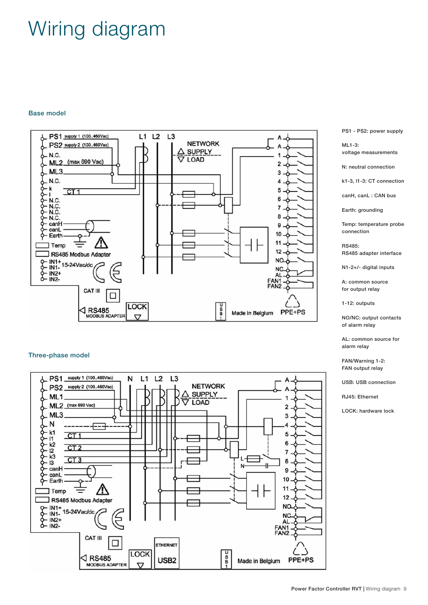## Wiring diagram

#### Base model



#### Three-phase model



PS1 - PS2: power supply

ML1-3: voltage measurements

N: neutral connection

k1-3, l1-3: CT connection

canH, canL : CAN bus

Earth: grounding

Temp: temperature probe connection

RS485: RS485 adapter interface

N1-2+/- digital inputs

A: common source for output relay

1-12: outputs

NO/NC: output contacts of alarm relay

AL: common source for alarm relay

FAN/Warning 1-2: FAN output relay

USB: USB connection

RJ45: Ethernet

LOCK: hardware lock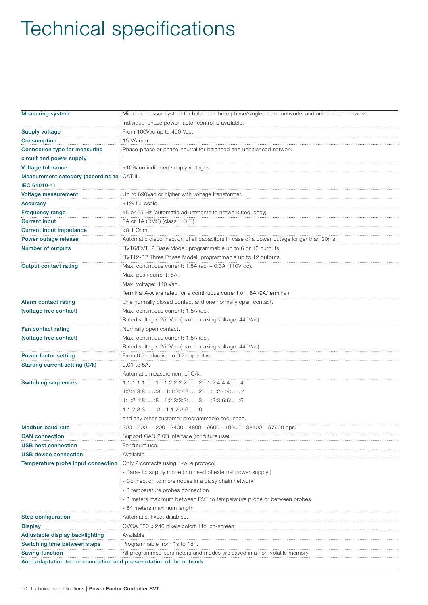# Technical specifications

| <b>Measuring system</b>                                             | Micro-processor system for balanced three-phase/single-phase networks and unbalanced network. |  |  |  |  |
|---------------------------------------------------------------------|-----------------------------------------------------------------------------------------------|--|--|--|--|
|                                                                     | Individual phase power factor control is available.                                           |  |  |  |  |
| <b>Supply voltage</b>                                               | From 100Vac up to 460 Vac.                                                                    |  |  |  |  |
| <b>Consumption</b>                                                  | 15 VA max.                                                                                    |  |  |  |  |
| Connection type for measuring                                       | Phase-phase or phase-neutral for balanced and unbalanced network.                             |  |  |  |  |
| circuit and power supply                                            |                                                                                               |  |  |  |  |
| <b>Voltage tolerance</b>                                            | $\pm 10\%$ on indicated supply voltages.                                                      |  |  |  |  |
| Measurement category (according to CAT III.                         |                                                                                               |  |  |  |  |
| IEC 61010-1)                                                        |                                                                                               |  |  |  |  |
| Voltage measurement                                                 | Up to 690Vac or higher with voltage transformer.                                              |  |  |  |  |
| Accuracy                                                            | $±1\%$ full scale.                                                                            |  |  |  |  |
| <b>Frequency range</b>                                              | 45 or 65 Hz (automatic adjustments to network frequency).                                     |  |  |  |  |
| <b>Current input</b>                                                | 5A or 1A (RMS) (class 1 C.T.).                                                                |  |  |  |  |
| <b>Current input impedance</b>                                      | $<$ 0.1 Ohm.                                                                                  |  |  |  |  |
| Power outage release                                                | Automatic disconnection of all capacitors in case of a power outage longer than 20ms.         |  |  |  |  |
| <b>Number of outputs</b>                                            | RVT6/RVT12 Base Model: programmable up to 6 or 12 outputs.                                    |  |  |  |  |
|                                                                     | RVT12-3P Three Phase Model: programmable up to 12 outputs.                                    |  |  |  |  |
| <b>Output contact rating</b>                                        | Max. continuous current: 1.5A (ac) - 0.3A (110V dc).                                          |  |  |  |  |
|                                                                     | Max. peak current: 5A.                                                                        |  |  |  |  |
|                                                                     | Max. voltage: 440 Vac.                                                                        |  |  |  |  |
|                                                                     | Terminal A-A are rated for a continuous current of 18A (9A/terminal).                         |  |  |  |  |
| Alarm contact rating                                                | One normally closed contact and one normally open contact.                                    |  |  |  |  |
| (voltage free contact)                                              | Max. continuous current: 1.5A (ac).                                                           |  |  |  |  |
|                                                                     | Rated voltage: 250Vac (max. breaking voltage: 440Vac).                                        |  |  |  |  |
| Fan contact rating                                                  | Normally open contact.                                                                        |  |  |  |  |
| (voltage free contact)                                              | Max. continuous current: 1.5A (ac).                                                           |  |  |  |  |
|                                                                     | Rated voltage: 250Vac (max. breaking voltage: 440Vac).                                        |  |  |  |  |
| <b>Power factor setting</b>                                         | From 0.7 inductive to 0.7 capacitive.                                                         |  |  |  |  |
| <b>Starting current setting (C/k)</b>                               | 0.01 to 5A.                                                                                   |  |  |  |  |
|                                                                     | Automatic measurement of C/k.                                                                 |  |  |  |  |
| <b>Switching sequences</b>                                          | $1:1:1:1:1::1 - 1:2:2:2:2::2 - 1:2:4:4:4::4$                                                  |  |  |  |  |
|                                                                     | $1:2:4:8:8:$ : 8 - 1:1:2:2:2:: 2 - 1:1:2:4:4:: 4                                              |  |  |  |  |
|                                                                     | $1:1:2:4:8::8 - 1:2:3:3:3:$ $:3 - 1:2:3:6:6::6$                                               |  |  |  |  |
|                                                                     | $1:1:2:3:31:3 - 1:1:2:3:61:6$                                                                 |  |  |  |  |
|                                                                     | and any other customer programmable sequence.                                                 |  |  |  |  |
| <b>Modbus baud rate</b>                                             | 300 - 600 - 1200 - 2400 - 4800 - 9600 - 19200 - 38400 - 57600 bps                             |  |  |  |  |
| <b>CAN</b> connection                                               | Support CAN 2.0B interface (for future use).                                                  |  |  |  |  |
| <b>USB host connection</b>                                          | For future use.                                                                               |  |  |  |  |
| <b>USB device connection</b>                                        | Available                                                                                     |  |  |  |  |
| Temperature probe input connection                                  | Only 2 contacts using 1-wire protocol.                                                        |  |  |  |  |
|                                                                     | Parasitic supply mode (no need of external power supply)                                      |  |  |  |  |
|                                                                     | Connection to more nodes in a daisy chain network                                             |  |  |  |  |
|                                                                     | 8 temperature probes connection                                                               |  |  |  |  |
|                                                                     | 8 meters maximum between RVT to temperature probe or between probes                           |  |  |  |  |
|                                                                     | 64 meters maximum length                                                                      |  |  |  |  |
| <b>Step configuration</b>                                           | Automatic, fixed, disabled.                                                                   |  |  |  |  |
| <b>Display</b>                                                      | QVGA 320 x 240 pixels colorful touch-screen.                                                  |  |  |  |  |
| Adjustable display backlighting                                     | Available                                                                                     |  |  |  |  |
| Switching time between steps                                        | Programmable from 1s to 18h.                                                                  |  |  |  |  |
| Saving-function                                                     | All programmed parameters and modes are saved in a non-volatile memory.                       |  |  |  |  |
| Auto adaptation to the connection and phase-rotation of the network |                                                                                               |  |  |  |  |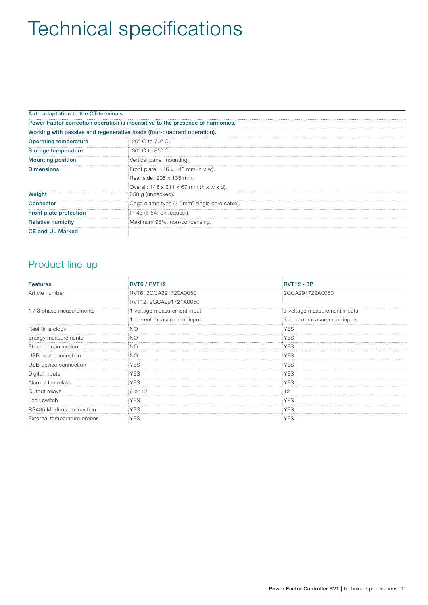# Technical specifications

| Auto adaptation to the CT-terminals |                                                                                |
|-------------------------------------|--------------------------------------------------------------------------------|
|                                     | Power Factor correction operation is insensitive to the presence of harmonics. |
|                                     | Working with passive and regenerative loads (four-quadrant operation).         |
| Operating temperature               | $-20^\circ$ C to 70 $^\circ$ C.                                                |
| Storage temperature                 | $-30^{\circ}$ C to 85 $^{\circ}$ C.                                            |
| <b>Mounting position</b>            | Vertical panel mounting.                                                       |
| <b>Dimensions</b>                   | Front plate: $146 \times 146$ mm (h x w).                                      |
|                                     | Rear side: 205 x 135 mm.                                                       |
|                                     | Overall: 146 x 211 x 67 mm (h x w x d).                                        |
| Weight                              | 650 g (unpacked).                                                              |
| Connector                           | Cage clamp type (2.5mm <sup>2</sup> single core cable).                        |
| Front plate protection              | IP 43 (IP54: on request).                                                      |
| <b>Relative humidity</b>            | Maximum 95%, non-condensing.                                                   |
| <b>CE and UL Marked</b>             |                                                                                |

### Product line-up

| <b>Features</b>             | RVT6 / RVT12              | <b>RVT12 - 3P</b>            |
|-----------------------------|---------------------------|------------------------------|
| Article number              | RVT6: 2GCA291720A0050     | 2GCA291722A0050              |
|                             | RVT12: 2GCA291721A0050    |                              |
| 1/3 phase measurements      | voltage measurement input | 3 voltage measurement inputs |
|                             | current measurement input | 3 current measurement inputs |
| Real time clock             | ΝC                        | YES                          |
| Energy measurements         | NC                        | YES                          |
| Ethernet connection         | NC                        | ΈS                           |
| USB host connection         |                           | YES.                         |
| JSB device connection       | YES                       | YES                          |
| Digital inputs              | <b>YES</b>                | YES                          |
| Alarm / fan relays          | YES                       | YES                          |
| Output relays               | ∃6 or 12                  |                              |
| _ock switch                 | <b>YES</b>                | YES                          |
| RS485 Modbus connection     | YES                       | YES                          |
| External temperature probes | <b>YES</b>                | <b>YES</b>                   |